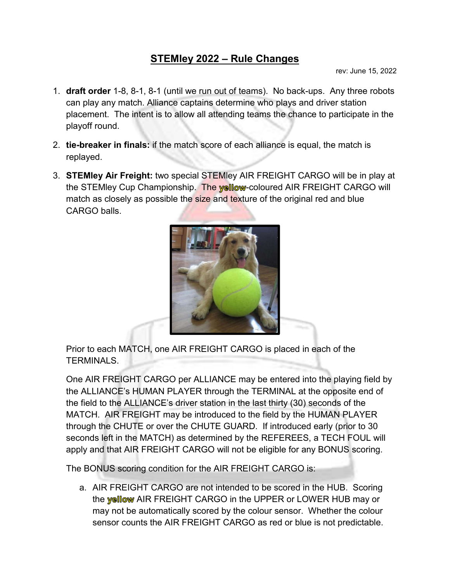## **STEMley 2022 – Rule Changes**

rev: June 15, 2022

- 1. **draft order** 1-8, 8-1, 8-1 (until we run out of teams). No back-ups. Any three robots can play any match. Alliance captains determine who plays and driver station placement. The intent is to allow all attending teams the chance to participate in the playoff round.
- 2. **tie-breaker in finals:** if the match score of each alliance is equal, the match is replayed.
- 3. **STEMley Air Freight:** two special STEMley AIR FREIGHT CARGO will be in play at the STEMley Cup Championship. The yellow-coloured AIR FREIGHT CARGO will match as closely as possible the size and texture of the original red and blue CARGO balls.



Prior to each MATCH, one AIR FREIGHT CARGO is placed in each of the TERMINALS.

One AIR FREIGHT CARGO per ALLIANCE may be entered into the playing field by the ALLIANCE's HUMAN PLAYER through the TERMINAL at the opposite end of the field to the ALLIANCE's driver station in the last thirty (30) seconds of the MATCH. AIR FREIGHT may be introduced to the field by the HUMAN PLAYER through the CHUTE or over the CHUTE GUARD. If introduced early (prior to 30 seconds left in the MATCH) as determined by the REFEREES, a TECH FOUL will apply and that AIR FREIGHT CARGO will not be eligible for any BONUS scoring.

The BONUS scoring condition for the AIR FREIGHT CARGO is:

a. AIR FREIGHT CARGO are not intended to be scored in the HUB. Scoring the **wellow** AIR FREIGHT CARGO in the UPPER or LOWER HUB may or may not be automatically scored by the colour sensor. Whether the colour sensor counts the AIR FREIGHT CARGO as red or blue is not predictable.